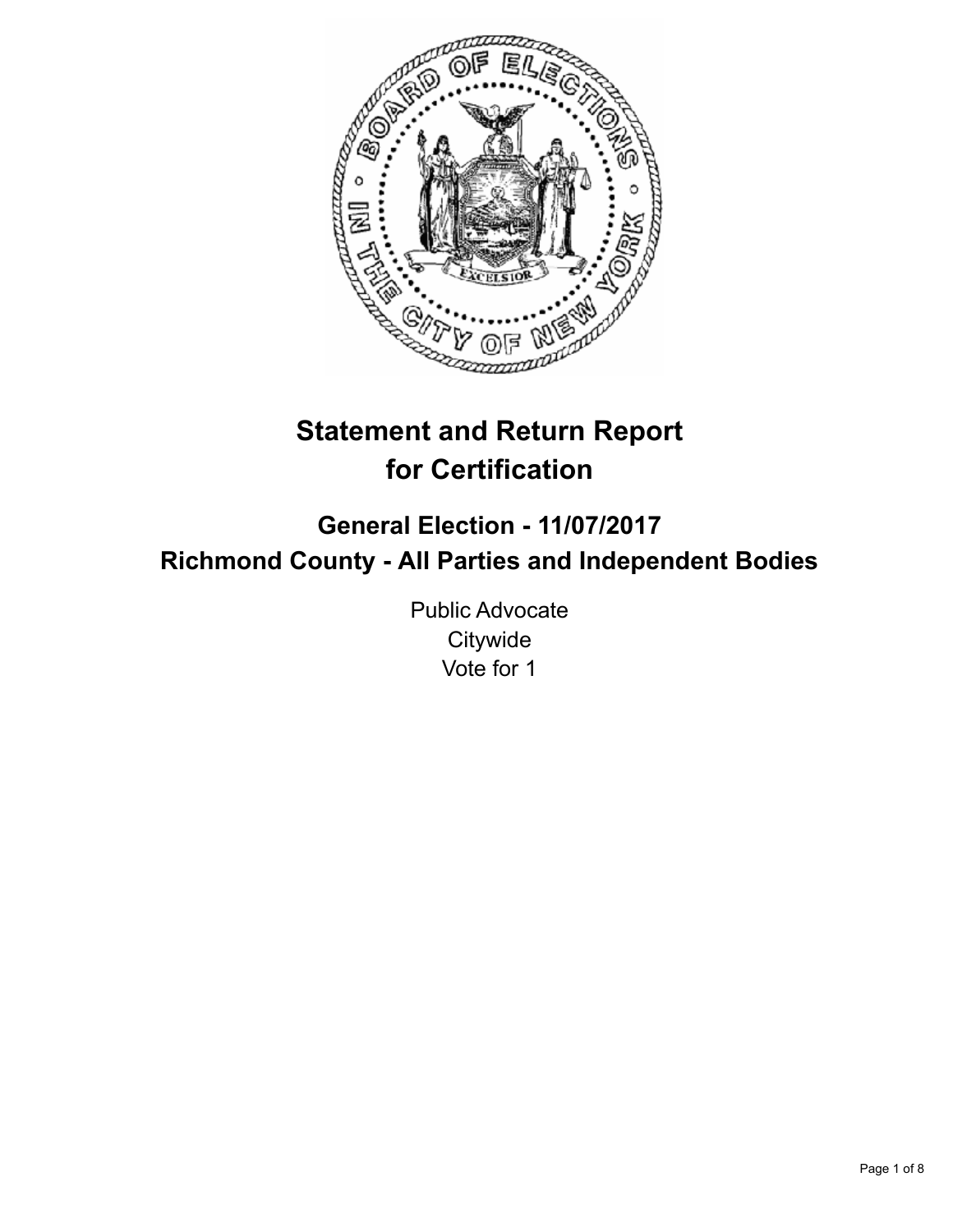

# **Statement and Return Report for Certification**

## **General Election - 11/07/2017 Richmond County - All Parties and Independent Bodies**

Public Advocate **Citywide** Vote for 1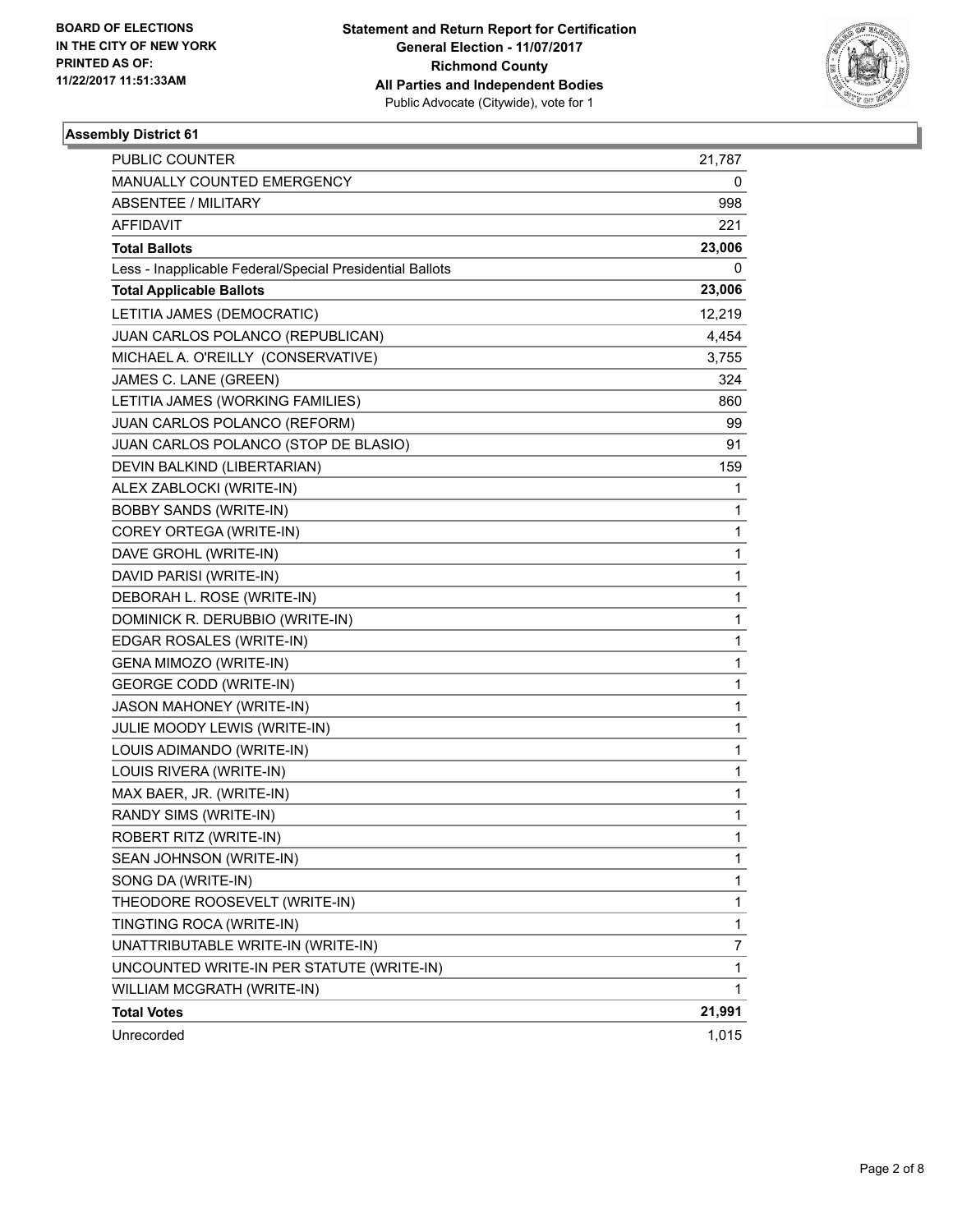

| <b>PUBLIC COUNTER</b>                                    | 21,787 |
|----------------------------------------------------------|--------|
| MANUALLY COUNTED EMERGENCY                               | 0      |
| <b>ABSENTEE / MILITARY</b>                               | 998    |
| AFFIDAVIT                                                | 221    |
| <b>Total Ballots</b>                                     | 23,006 |
| Less - Inapplicable Federal/Special Presidential Ballots | 0      |
| <b>Total Applicable Ballots</b>                          | 23,006 |
| LETITIA JAMES (DEMOCRATIC)                               | 12,219 |
| JUAN CARLOS POLANCO (REPUBLICAN)                         | 4,454  |
| MICHAEL A. O'REILLY (CONSERVATIVE)                       | 3,755  |
| JAMES C. LANE (GREEN)                                    | 324    |
| LETITIA JAMES (WORKING FAMILIES)                         | 860    |
| JUAN CARLOS POLANCO (REFORM)                             | 99     |
| JUAN CARLOS POLANCO (STOP DE BLASIO)                     | 91     |
| DEVIN BALKIND (LIBERTARIAN)                              | 159    |
| ALEX ZABLOCKI (WRITE-IN)                                 | 1      |
| <b>BOBBY SANDS (WRITE-IN)</b>                            | 1      |
| COREY ORTEGA (WRITE-IN)                                  | 1      |
| DAVE GROHL (WRITE-IN)                                    | 1      |
| DAVID PARISI (WRITE-IN)                                  | 1      |
| DEBORAH L. ROSE (WRITE-IN)                               | 1      |
| DOMINICK R. DERUBBIO (WRITE-IN)                          | 1      |
| EDGAR ROSALES (WRITE-IN)                                 | 1      |
| GENA MIMOZO (WRITE-IN)                                   | 1      |
| <b>GEORGE CODD (WRITE-IN)</b>                            | 1      |
| JASON MAHONEY (WRITE-IN)                                 | 1      |
| JULIE MOODY LEWIS (WRITE-IN)                             | 1      |
| LOUIS ADIMANDO (WRITE-IN)                                | 1      |
| LOUIS RIVERA (WRITE-IN)                                  | 1      |
| MAX BAER, JR. (WRITE-IN)                                 | 1      |
| RANDY SIMS (WRITE-IN)                                    | 1      |
| ROBERT RITZ (WRITE-IN)                                   | 1      |
| SEAN JOHNSON (WRITE-IN)                                  | 1      |
| SONG DA (WRITE-IN)                                       | 1      |
| THEODORE ROOSEVELT (WRITE-IN)                            | 1      |
| TINGTING ROCA (WRITE-IN)                                 | 1      |
| UNATTRIBUTABLE WRITE-IN (WRITE-IN)                       | 7      |
| UNCOUNTED WRITE-IN PER STATUTE (WRITE-IN)                | 1      |
| WILLIAM MCGRATH (WRITE-IN)                               | 1      |
| <b>Total Votes</b>                                       | 21,991 |
| Unrecorded                                               | 1,015  |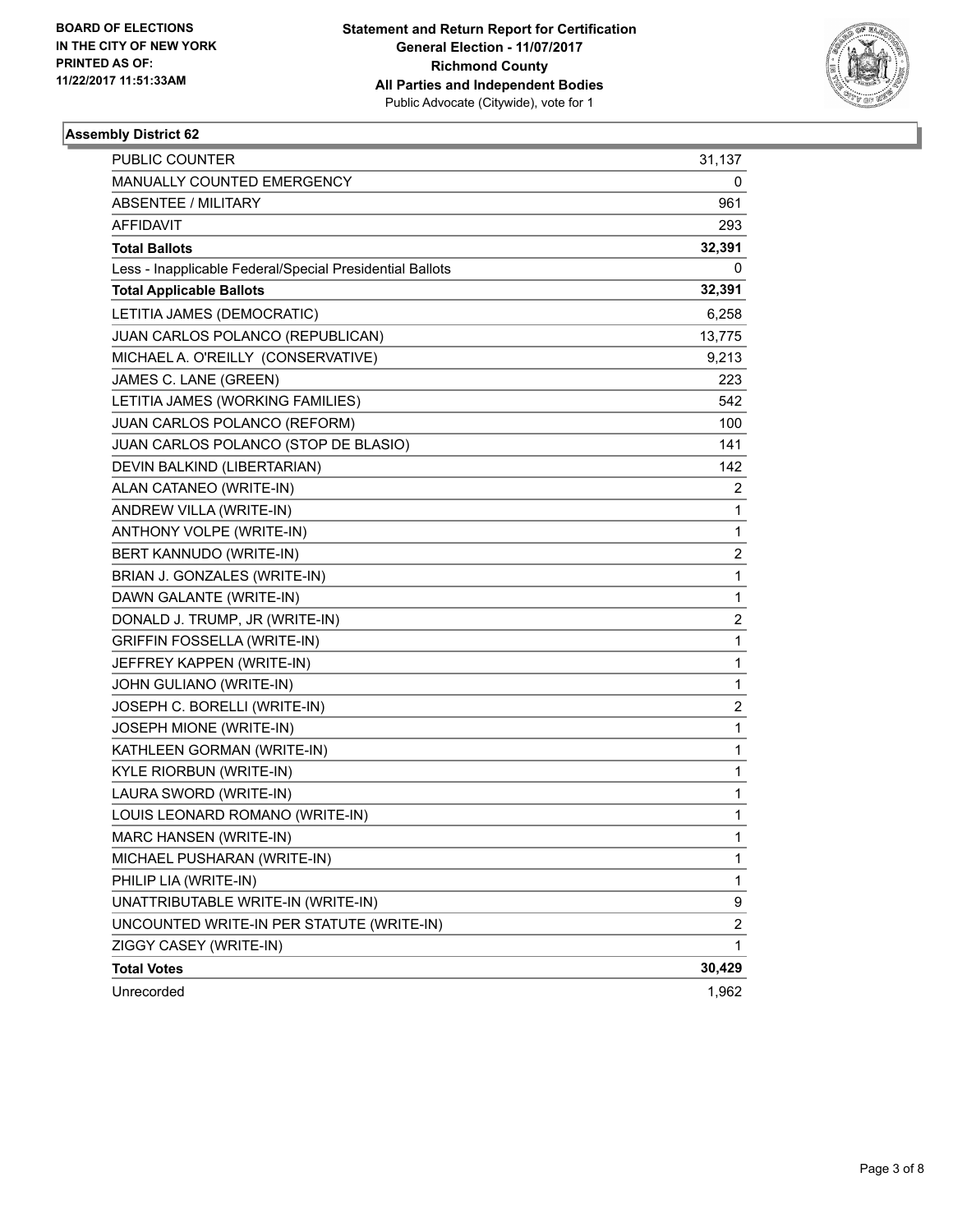

| <b>PUBLIC COUNTER</b>                                    | 31,137                  |
|----------------------------------------------------------|-------------------------|
| MANUALLY COUNTED EMERGENCY                               | 0                       |
| <b>ABSENTEE / MILITARY</b>                               | 961                     |
| AFFIDAVIT                                                | 293                     |
| <b>Total Ballots</b>                                     | 32,391                  |
| Less - Inapplicable Federal/Special Presidential Ballots | 0                       |
| <b>Total Applicable Ballots</b>                          | 32,391                  |
| LETITIA JAMES (DEMOCRATIC)                               | 6,258                   |
| JUAN CARLOS POLANCO (REPUBLICAN)                         | 13,775                  |
| MICHAEL A. O'REILLY (CONSERVATIVE)                       | 9,213                   |
| JAMES C. LANE (GREEN)                                    | 223                     |
| LETITIA JAMES (WORKING FAMILIES)                         | 542                     |
| JUAN CARLOS POLANCO (REFORM)                             | 100                     |
| JUAN CARLOS POLANCO (STOP DE BLASIO)                     | 141                     |
| DEVIN BALKIND (LIBERTARIAN)                              | 142                     |
| ALAN CATANEO (WRITE-IN)                                  | 2                       |
| ANDREW VILLA (WRITE-IN)                                  | 1                       |
| ANTHONY VOLPE (WRITE-IN)                                 | 1                       |
| BERT KANNUDO (WRITE-IN)                                  | 2                       |
| BRIAN J. GONZALES (WRITE-IN)                             | 1                       |
| DAWN GALANTE (WRITE-IN)                                  | 1                       |
| DONALD J. TRUMP, JR (WRITE-IN)                           | 2                       |
| <b>GRIFFIN FOSSELLA (WRITE-IN)</b>                       | 1                       |
| JEFFREY KAPPEN (WRITE-IN)                                | 1                       |
| JOHN GULIANO (WRITE-IN)                                  | 1                       |
| JOSEPH C. BORELLI (WRITE-IN)                             | 2                       |
| JOSEPH MIONE (WRITE-IN)                                  | 1                       |
| KATHLEEN GORMAN (WRITE-IN)                               | 1                       |
| <b>KYLE RIORBUN (WRITE-IN)</b>                           | 1                       |
| LAURA SWORD (WRITE-IN)                                   | 1                       |
| LOUIS LEONARD ROMANO (WRITE-IN)                          | 1                       |
| <b>MARC HANSEN (WRITE-IN)</b>                            | 1                       |
| MICHAEL PUSHARAN (WRITE-IN)                              | 1                       |
| PHILIP LIA (WRITE-IN)                                    | 1                       |
| UNATTRIBUTABLE WRITE-IN (WRITE-IN)                       | 9                       |
| UNCOUNTED WRITE-IN PER STATUTE (WRITE-IN)                | $\overline{\mathbf{c}}$ |
| ZIGGY CASEY (WRITE-IN)                                   | 1                       |
| <b>Total Votes</b>                                       | 30,429                  |
| Unrecorded                                               | 1,962                   |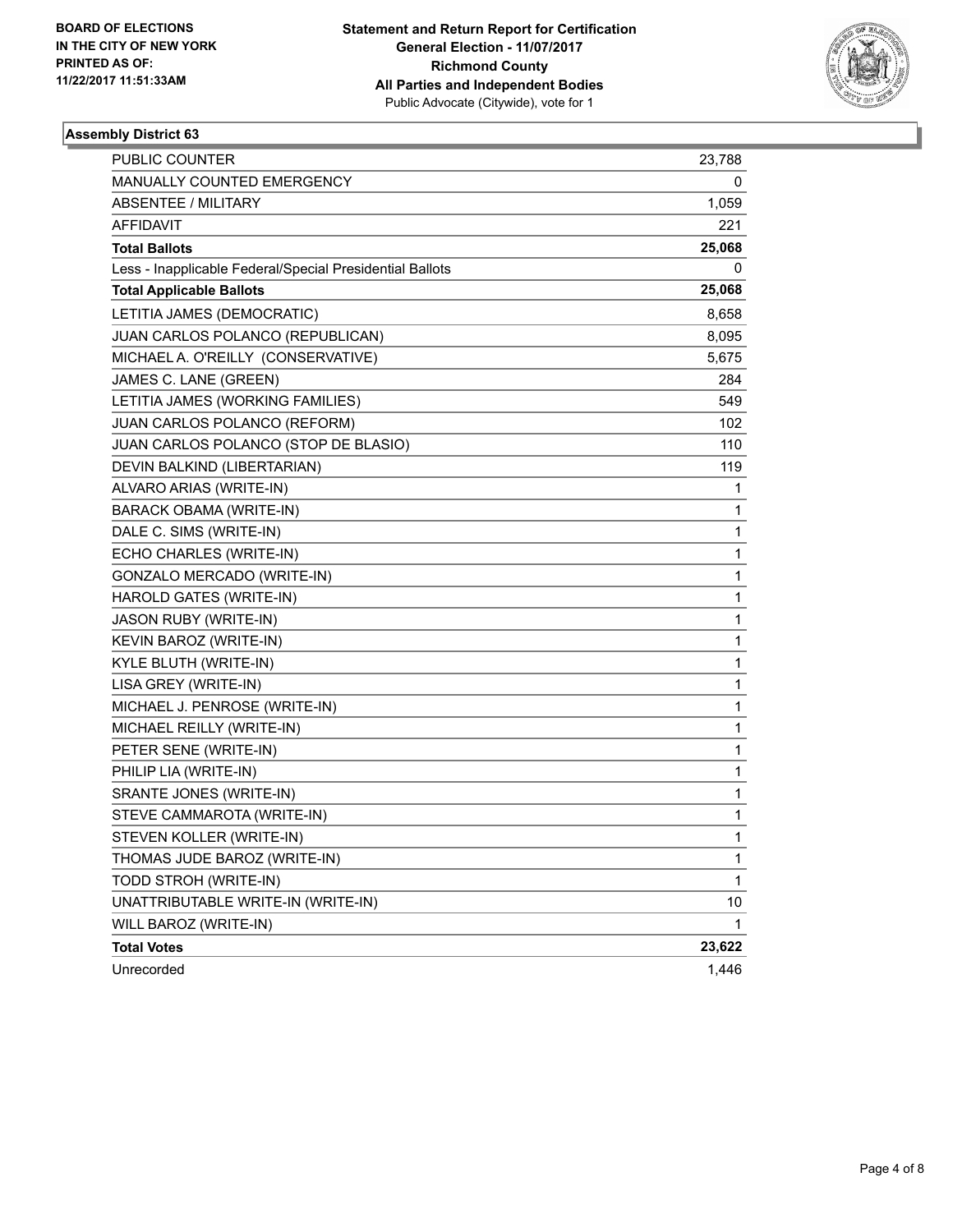

| PUBLIC COUNTER                                           | 23,788 |
|----------------------------------------------------------|--------|
| MANUALLY COUNTED EMERGENCY                               | 0      |
| <b>ABSENTEE / MILITARY</b>                               | 1,059  |
| AFFIDAVIT                                                | 221    |
| <b>Total Ballots</b>                                     | 25,068 |
| Less - Inapplicable Federal/Special Presidential Ballots | 0      |
| <b>Total Applicable Ballots</b>                          | 25,068 |
| LETITIA JAMES (DEMOCRATIC)                               | 8,658  |
| JUAN CARLOS POLANCO (REPUBLICAN)                         | 8,095  |
| MICHAEL A. O'REILLY (CONSERVATIVE)                       | 5,675  |
| JAMES C. LANE (GREEN)                                    | 284    |
| LETITIA JAMES (WORKING FAMILIES)                         | 549    |
| JUAN CARLOS POLANCO (REFORM)                             | 102    |
| JUAN CARLOS POLANCO (STOP DE BLASIO)                     | 110    |
| DEVIN BALKIND (LIBERTARIAN)                              | 119    |
| ALVARO ARIAS (WRITE-IN)                                  | 1      |
| BARACK OBAMA (WRITE-IN)                                  | 1      |
| DALE C. SIMS (WRITE-IN)                                  | 1      |
| ECHO CHARLES (WRITE-IN)                                  | 1      |
| GONZALO MERCADO (WRITE-IN)                               | 1      |
| HAROLD GATES (WRITE-IN)                                  | 1      |
| JASON RUBY (WRITE-IN)                                    | 1      |
| KEVIN BAROZ (WRITE-IN)                                   | 1      |
| KYLE BLUTH (WRITE-IN)                                    | 1      |
| LISA GREY (WRITE-IN)                                     | 1      |
| MICHAEL J. PENROSE (WRITE-IN)                            | 1      |
| MICHAEL REILLY (WRITE-IN)                                | 1      |
| PETER SENE (WRITE-IN)                                    | 1      |
| PHILIP LIA (WRITE-IN)                                    | 1      |
| SRANTE JONES (WRITE-IN)                                  | 1      |
| STEVE CAMMAROTA (WRITE-IN)                               | 1      |
| STEVEN KOLLER (WRITE-IN)                                 | 1      |
| THOMAS JUDE BAROZ (WRITE-IN)                             | 1      |
| TODD STROH (WRITE-IN)                                    | 1      |
| UNATTRIBUTABLE WRITE-IN (WRITE-IN)                       | 10     |
| WILL BAROZ (WRITE-IN)                                    | 1      |
| <b>Total Votes</b>                                       | 23,622 |
| Unrecorded                                               | 1,446  |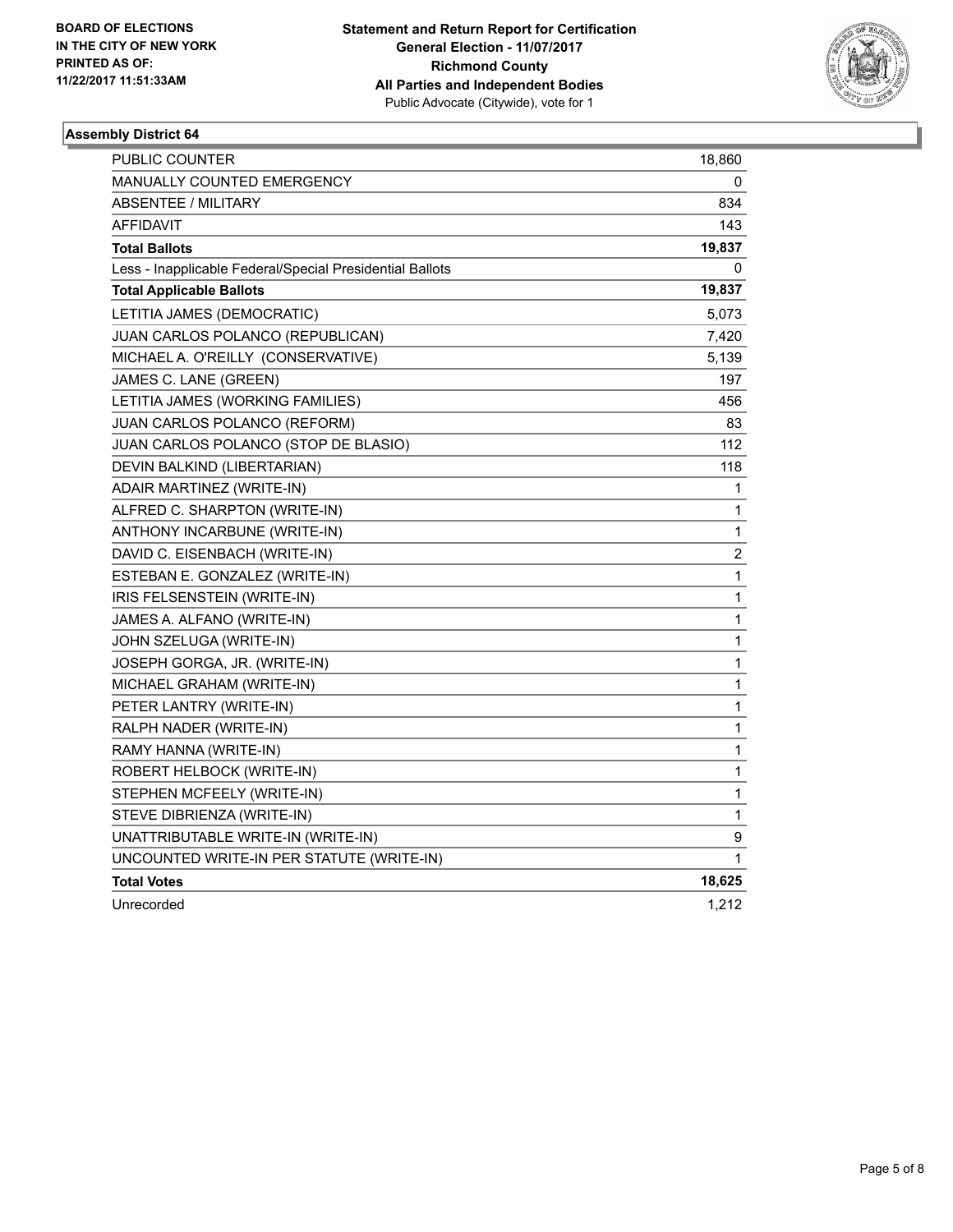

| PUBLIC COUNTER                                           | 18,860       |
|----------------------------------------------------------|--------------|
| MANUALLY COUNTED EMERGENCY                               | 0            |
| <b>ABSENTEE / MILITARY</b>                               | 834          |
| <b>AFFIDAVIT</b>                                         | 143          |
| <b>Total Ballots</b>                                     | 19,837       |
| Less - Inapplicable Federal/Special Presidential Ballots | 0            |
| <b>Total Applicable Ballots</b>                          | 19,837       |
| LETITIA JAMES (DEMOCRATIC)                               | 5,073        |
| JUAN CARLOS POLANCO (REPUBLICAN)                         | 7,420        |
| MICHAEL A. O'REILLY (CONSERVATIVE)                       | 5,139        |
| JAMES C. LANE (GREEN)                                    | 197          |
| LETITIA JAMES (WORKING FAMILIES)                         | 456          |
| JUAN CARLOS POLANCO (REFORM)                             | 83           |
| JUAN CARLOS POLANCO (STOP DE BLASIO)                     | 112          |
| DEVIN BALKIND (LIBERTARIAN)                              | 118          |
| ADAIR MARTINEZ (WRITE-IN)                                | 1            |
| ALFRED C. SHARPTON (WRITE-IN)                            | 1            |
| ANTHONY INCARBUNE (WRITE-IN)                             | 1            |
| DAVID C. EISENBACH (WRITE-IN)                            | 2            |
| ESTEBAN E. GONZALEZ (WRITE-IN)                           | 1            |
| IRIS FELSENSTEIN (WRITE-IN)                              | 1            |
| JAMES A. ALFANO (WRITE-IN)                               | $\mathbf{1}$ |
| JOHN SZELUGA (WRITE-IN)                                  | $\mathbf{1}$ |
| JOSEPH GORGA, JR. (WRITE-IN)                             | 1            |
| MICHAEL GRAHAM (WRITE-IN)                                | 1            |
| PETER LANTRY (WRITE-IN)                                  | 1            |
| RALPH NADER (WRITE-IN)                                   | 1            |
| RAMY HANNA (WRITE-IN)                                    | 1            |
| ROBERT HELBOCK (WRITE-IN)                                | 1            |
| STEPHEN MCFEELY (WRITE-IN)                               | $\mathbf{1}$ |
| STEVE DIBRIENZA (WRITE-IN)                               | 1            |
| UNATTRIBUTABLE WRITE-IN (WRITE-IN)                       | 9            |
| UNCOUNTED WRITE-IN PER STATUTE (WRITE-IN)                | 1            |
| <b>Total Votes</b>                                       | 18,625       |
| Unrecorded                                               | 1,212        |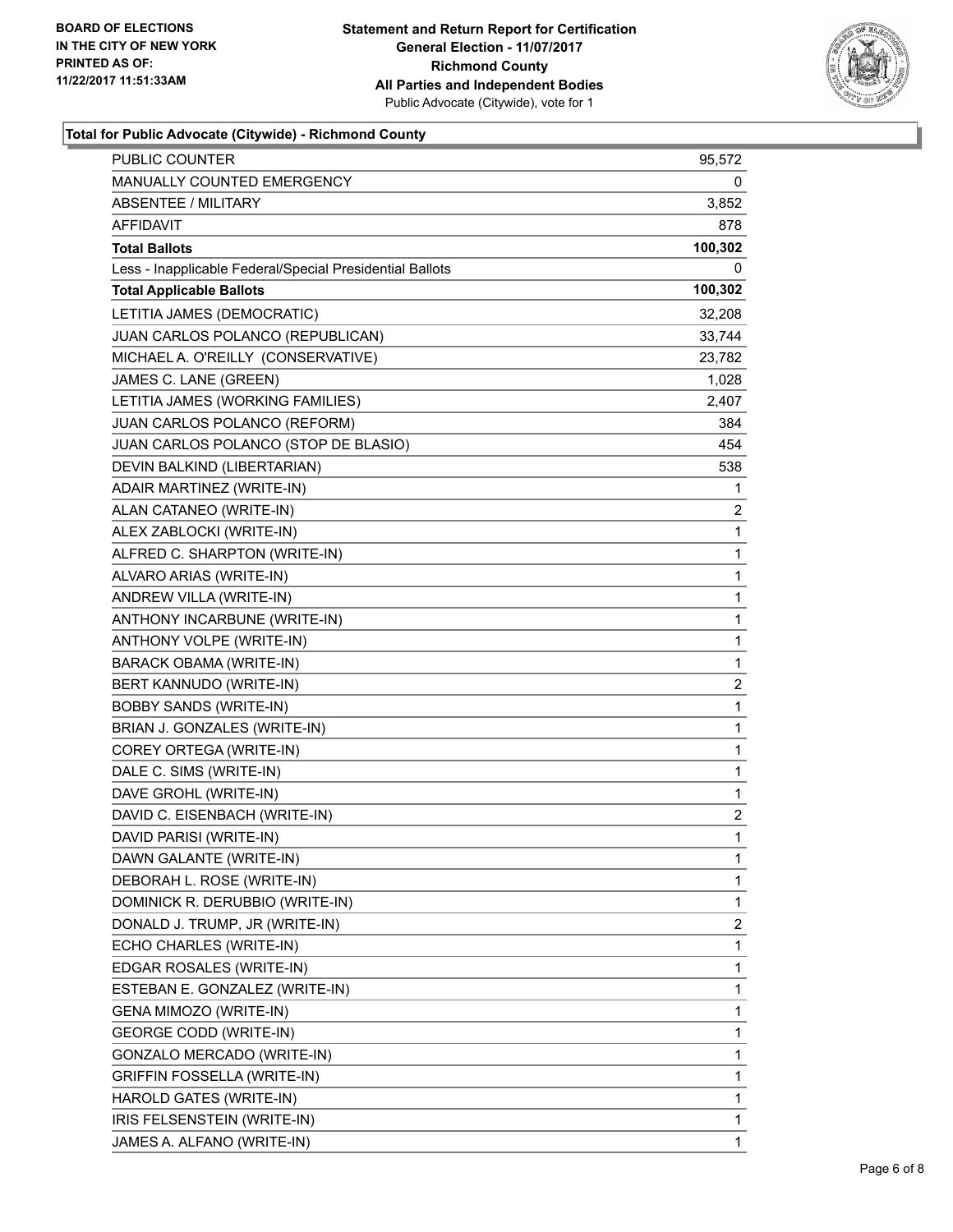

#### **Total for Public Advocate (Citywide) - Richmond County**

| <b>PUBLIC COUNTER</b>                                    | 95,572       |
|----------------------------------------------------------|--------------|
| MANUALLY COUNTED EMERGENCY                               | 0            |
| <b>ABSENTEE / MILITARY</b>                               | 3,852        |
| AFFIDAVIT                                                | 878          |
| <b>Total Ballots</b>                                     | 100,302      |
| Less - Inapplicable Federal/Special Presidential Ballots | 0            |
| <b>Total Applicable Ballots</b>                          | 100,302      |
| LETITIA JAMES (DEMOCRATIC)                               | 32,208       |
| JUAN CARLOS POLANCO (REPUBLICAN)                         | 33,744       |
| MICHAEL A. O'REILLY (CONSERVATIVE)                       | 23,782       |
| JAMES C. LANE (GREEN)                                    | 1,028        |
| LETITIA JAMES (WORKING FAMILIES)                         | 2,407        |
| JUAN CARLOS POLANCO (REFORM)                             | 384          |
| JUAN CARLOS POLANCO (STOP DE BLASIO)                     | 454          |
| DEVIN BALKIND (LIBERTARIAN)                              | 538          |
| ADAIR MARTINEZ (WRITE-IN)                                | 1            |
| ALAN CATANEO (WRITE-IN)                                  | 2            |
| ALEX ZABLOCKI (WRITE-IN)                                 | $\mathbf{1}$ |
| ALFRED C. SHARPTON (WRITE-IN)                            | 1            |
| ALVARO ARIAS (WRITE-IN)                                  | 1            |
| ANDREW VILLA (WRITE-IN)                                  | $\mathbf 1$  |
| ANTHONY INCARBUNE (WRITE-IN)                             | 1            |
| ANTHONY VOLPE (WRITE-IN)                                 | 1            |
| BARACK OBAMA (WRITE-IN)                                  | 1            |
| BERT KANNUDO (WRITE-IN)                                  | 2            |
| <b>BOBBY SANDS (WRITE-IN)</b>                            | 1            |
| BRIAN J. GONZALES (WRITE-IN)                             | $\mathbf 1$  |
| COREY ORTEGA (WRITE-IN)                                  | 1            |
| DALE C. SIMS (WRITE-IN)                                  | 1            |
| DAVE GROHL (WRITE-IN)                                    | 1            |
| DAVID C. EISENBACH (WRITE-IN)                            | 2            |
| DAVID PARISI (WRITE-IN)                                  | $\mathbf{1}$ |
| DAWN GALANTE (WRITE-IN)                                  | 1            |
| DEBORAH L. ROSE (WRITE-IN)                               | 1            |
| DOMINICK R. DERUBBIO (WRITE-IN)                          | 1            |
| DONALD J. TRUMP, JR (WRITE-IN)                           | 2            |
| ECHO CHARLES (WRITE-IN)                                  | 1            |
| EDGAR ROSALES (WRITE-IN)                                 | 1            |
| ESTEBAN E. GONZALEZ (WRITE-IN)                           | 1            |
| GENA MIMOZO (WRITE-IN)                                   | 1            |
| <b>GEORGE CODD (WRITE-IN)</b>                            | 1            |
| GONZALO MERCADO (WRITE-IN)                               | 1            |
| <b>GRIFFIN FOSSELLA (WRITE-IN)</b>                       | 1            |
| HAROLD GATES (WRITE-IN)                                  | 1            |
| IRIS FELSENSTEIN (WRITE-IN)                              | 1            |
| JAMES A. ALFANO (WRITE-IN)                               | 1            |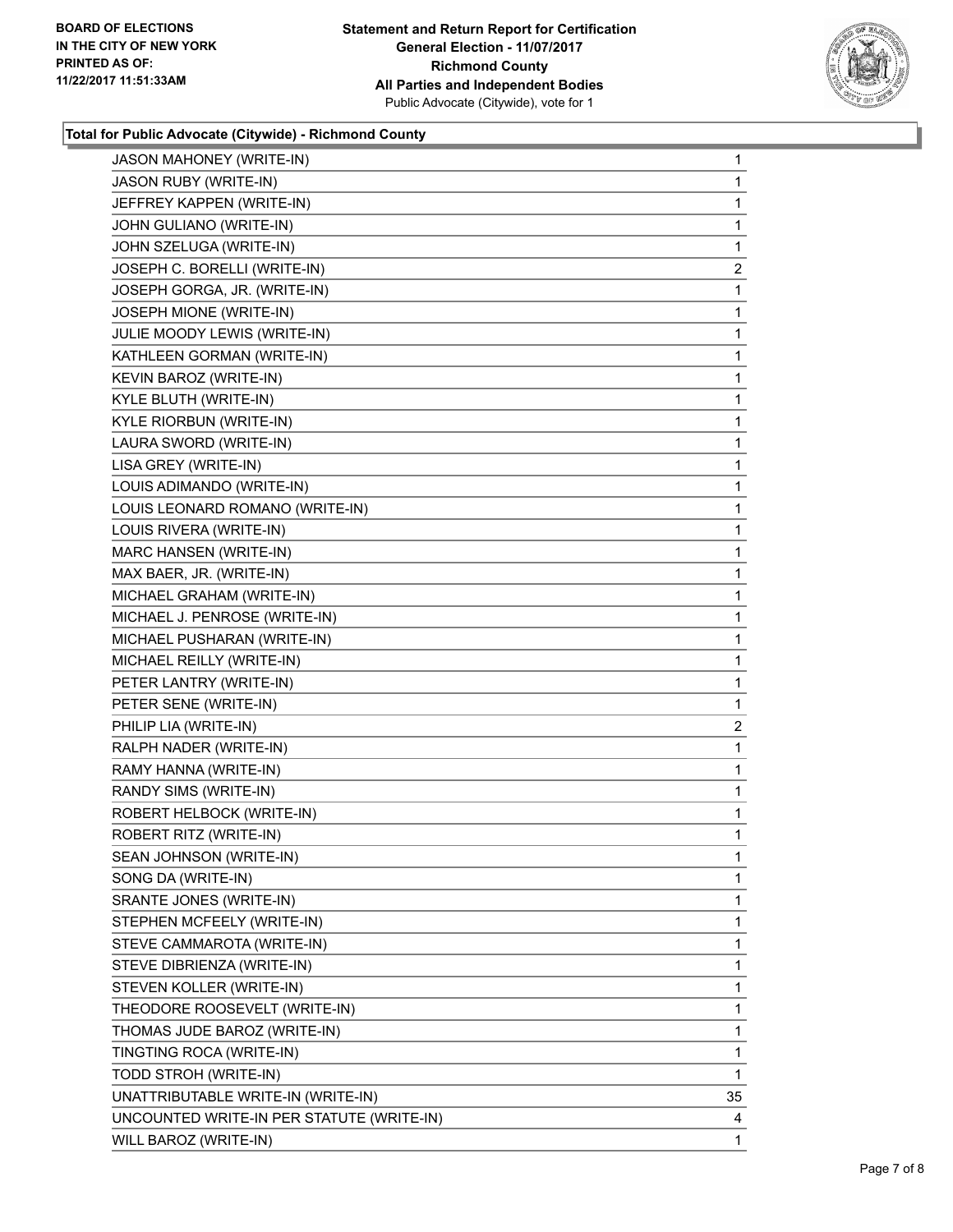

#### **Total for Public Advocate (Citywide) - Richmond County**

| <b>JASON MAHONEY (WRITE-IN)</b>           | 1  |
|-------------------------------------------|----|
| JASON RUBY (WRITE-IN)                     | 1  |
| JEFFREY KAPPEN (WRITE-IN)                 | 1  |
| JOHN GULIANO (WRITE-IN)                   | 1  |
| JOHN SZELUGA (WRITE-IN)                   | 1  |
| JOSEPH C. BORELLI (WRITE-IN)              | 2  |
| JOSEPH GORGA, JR. (WRITE-IN)              | 1  |
| JOSEPH MIONE (WRITE-IN)                   | 1  |
| JULIE MOODY LEWIS (WRITE-IN)              | 1  |
| KATHLEEN GORMAN (WRITE-IN)                | 1  |
| KEVIN BAROZ (WRITE-IN)                    | 1  |
| KYLE BLUTH (WRITE-IN)                     | 1  |
| KYLE RIORBUN (WRITE-IN)                   | 1  |
| LAURA SWORD (WRITE-IN)                    | 1  |
| LISA GREY (WRITE-IN)                      | 1  |
| LOUIS ADIMANDO (WRITE-IN)                 | 1  |
| LOUIS LEONARD ROMANO (WRITE-IN)           | 1  |
| LOUIS RIVERA (WRITE-IN)                   | 1  |
| MARC HANSEN (WRITE-IN)                    | 1  |
| MAX BAER, JR. (WRITE-IN)                  | 1  |
| MICHAEL GRAHAM (WRITE-IN)                 | 1  |
| MICHAEL J. PENROSE (WRITE-IN)             | 1  |
| MICHAEL PUSHARAN (WRITE-IN)               | 1  |
| MICHAEL REILLY (WRITE-IN)                 | 1  |
| PETER LANTRY (WRITE-IN)                   | 1  |
| PETER SENE (WRITE-IN)                     | 1  |
| PHILIP LIA (WRITE-IN)                     | 2  |
| RALPH NADER (WRITE-IN)                    | 1  |
| RAMY HANNA (WRITE-IN)                     | 1  |
| RANDY SIMS (WRITE-IN)                     | 1  |
| ROBERT HELBOCK (WRITE-IN)                 | 1  |
| ROBERT RITZ (WRITE-IN)                    | 1  |
| SEAN JOHNSON (WRITE-IN)                   | 1  |
| SONG DA (WRITE-IN)                        | 1  |
| SRANTE JONES (WRITE-IN)                   | 1  |
| STEPHEN MCFEELY (WRITE-IN)                | 1  |
| STEVE CAMMAROTA (WRITE-IN)                | 1  |
| STEVE DIBRIENZA (WRITE-IN)                | 1  |
| STEVEN KOLLER (WRITE-IN)                  | 1  |
| THEODORE ROOSEVELT (WRITE-IN)             | 1  |
| THOMAS JUDE BAROZ (WRITE-IN)              | 1  |
| TINGTING ROCA (WRITE-IN)                  | 1  |
| TODD STROH (WRITE-IN)                     | 1  |
| UNATTRIBUTABLE WRITE-IN (WRITE-IN)        | 35 |
| UNCOUNTED WRITE-IN PER STATUTE (WRITE-IN) | 4  |
| WILL BAROZ (WRITE-IN)                     | 1  |
|                                           |    |